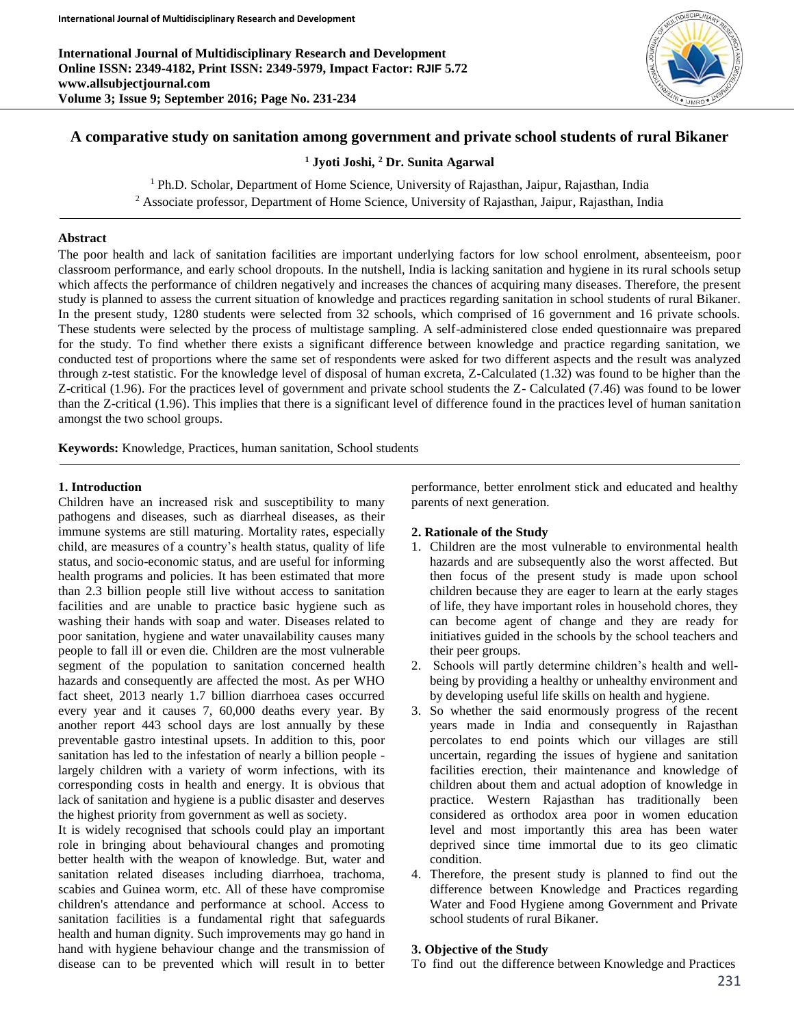**International Journal of Multidisciplinary Research and Development Online ISSN: 2349-4182, Print ISSN: 2349-5979, Impact Factor: RJIF 5.72 www.allsubjectjournal.com Volume 3; Issue 9; September 2016; Page No. 231-234**



## **A comparative study on sanitation among government and private school students of rural Bikaner**

**<sup>1</sup> Jyoti Joshi, <sup>2</sup> Dr. Sunita Agarwal**

<sup>1</sup> Ph.D. Scholar, Department of Home Science, University of Rajasthan, Jaipur, Rajasthan, India

<sup>2</sup> Associate professor, Department of Home Science, University of Rajasthan, Jaipur, Rajasthan, India

#### **Abstract**

The poor health and lack of sanitation facilities are important underlying factors for low school enrolment, absenteeism, poor classroom performance, and early school dropouts. In the nutshell, India is lacking sanitation and hygiene in its rural schools setup which affects the performance of children negatively and increases the chances of acquiring many diseases. Therefore, the present study is planned to assess the current situation of knowledge and practices regarding sanitation in school students of rural Bikaner. In the present study, 1280 students were selected from 32 schools, which comprised of 16 government and 16 private schools. These students were selected by the process of multistage sampling. A self-administered close ended questionnaire was prepared for the study. To find whether there exists a significant difference between knowledge and practice regarding sanitation, we conducted test of proportions where the same set of respondents were asked for two different aspects and the result was analyzed through z-test statistic. For the knowledge level of disposal of human excreta, Z-Calculated (1.32) was found to be higher than the Z-critical (1.96). For the practices level of government and private school students the Z- Calculated (7.46) was found to be lower than the Z-critical (1.96). This implies that there is a significant level of difference found in the practices level of human sanitation amongst the two school groups.

**Keywords:** Knowledge, Practices, human sanitation, School students

#### **1. Introduction**

Children have an increased risk and susceptibility to many pathogens and diseases, such as diarrheal diseases, as their immune systems are still maturing. Mortality rates, especially child, are measures of a country's health status, quality of life status, and socio-economic status, and are useful for informing health programs and policies. It has been estimated that more than 2.3 billion people still live without access to sanitation facilities and are unable to practice basic hygiene such as washing their hands with soap and water. Diseases related to poor sanitation, hygiene and water unavailability causes many people to fall ill or even die. Children are the most vulnerable segment of the population to sanitation concerned health hazards and consequently are affected the most. As per WHO fact sheet, 2013 nearly 1.7 billion diarrhoea cases occurred every year and it causes 7, 60,000 deaths every year. By another report 443 school days are lost annually by these preventable gastro intestinal upsets. In addition to this, poor sanitation has led to the infestation of nearly a billion people largely children with a variety of worm infections, with its corresponding costs in health and energy. It is obvious that lack of sanitation and hygiene is a public disaster and deserves the highest priority from government as well as society.

It is widely recognised that schools could play an important role in bringing about behavioural changes and promoting better health with the weapon of knowledge. But, water and sanitation related diseases including diarrhoea, trachoma, scabies and Guinea worm, etc. All of these have compromise children's attendance and performance at school. Access to sanitation facilities is a fundamental right that safeguards health and human dignity. Such improvements may go hand in hand with hygiene behaviour change and the transmission of disease can to be prevented which will result in to better performance, better enrolment stick and educated and healthy parents of next generation.

### **2. Rationale of the Study**

- 1. Children are the most vulnerable to environmental health hazards and are subsequently also the worst affected. But then focus of the present study is made upon school children because they are eager to learn at the early stages of life, they have important roles in household chores, they can become agent of change and they are ready for initiatives guided in the schools by the school teachers and their peer groups.
- 2. Schools will partly determine children's health and wellbeing by providing a healthy or unhealthy environment and by developing useful life skills on health and hygiene.
- 3. So whether the said enormously progress of the recent years made in India and consequently in Rajasthan percolates to end points which our villages are still uncertain, regarding the issues of hygiene and sanitation facilities erection, their maintenance and knowledge of children about them and actual adoption of knowledge in practice. Western Rajasthan has traditionally been considered as orthodox area poor in women education level and most importantly this area has been water deprived since time immortal due to its geo climatic condition.
- 4. Therefore, the present study is planned to find out the difference between Knowledge and Practices regarding Water and Food Hygiene among Government and Private school students of rural Bikaner.

#### **3. Objective of the Study**

To find out the difference between Knowledge and Practices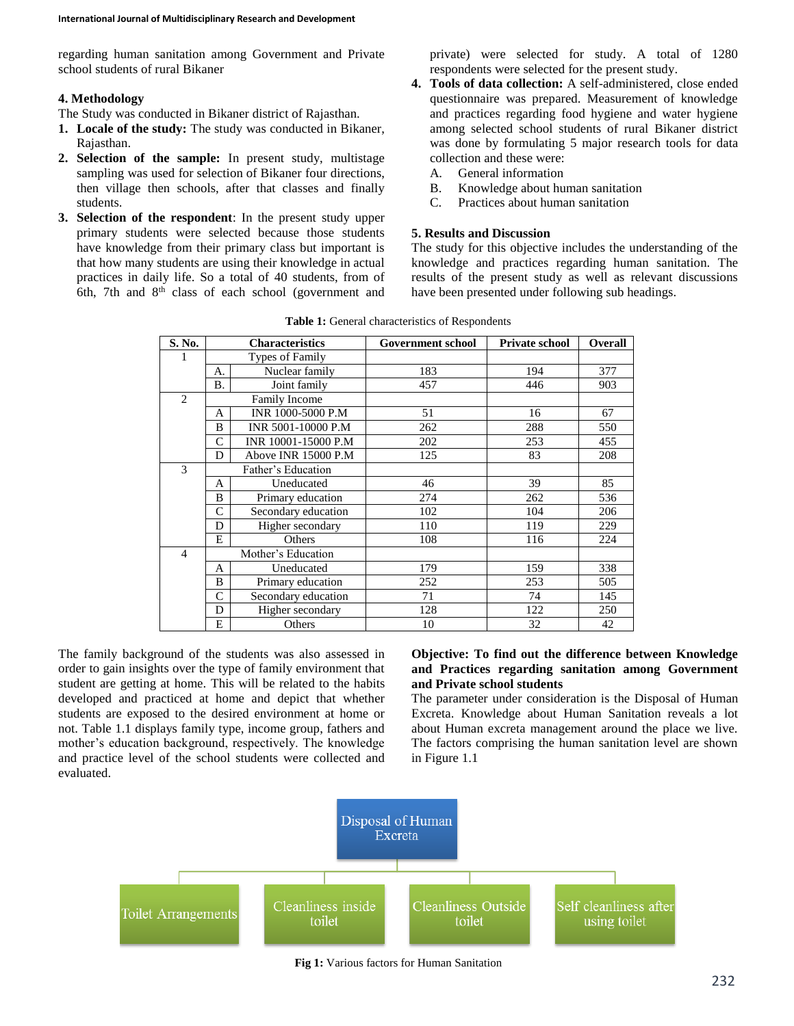regarding human sanitation among Government and Private school students of rural Bikaner

### **4. Methodology**

The Study was conducted in Bikaner district of Rajasthan.

- **1. Locale of the study:** The study was conducted in Bikaner, Rajasthan.
- **2. Selection of the sample:** In present study, multistage sampling was used for selection of Bikaner four directions, then village then schools, after that classes and finally students.
- **3. Selection of the respondent**: In the present study upper primary students were selected because those students have knowledge from their primary class but important is that how many students are using their knowledge in actual practices in daily life. So a total of 40 students, from of 6th, 7th and  $8<sup>th</sup>$  class of each school (government and

private) were selected for study. A total of 1280 respondents were selected for the present study.

- **4. Tools of data collection:** A self-administered, close ended questionnaire was prepared. Measurement of knowledge and practices regarding food hygiene and water hygiene among selected school students of rural Bikaner district was done by formulating 5 major research tools for data collection and these were:
	- A. General information
	- B. Knowledge about human sanitation
	- C. Practices about human sanitation

### **5. Results and Discussion**

The study for this objective includes the understanding of the knowledge and practices regarding human sanitation. The results of the present study as well as relevant discussions have been presented under following sub headings.

| S. No.         |                    | <b>Characteristics</b> | Government school | <b>Private school</b> | <b>Overall</b> |
|----------------|--------------------|------------------------|-------------------|-----------------------|----------------|
|                |                    | <b>Types of Family</b> |                   |                       |                |
|                | А.                 | Nuclear family         | 183               | 194                   | 377            |
|                | <b>B.</b>          | Joint family           | 457               | 446                   | 903            |
| $\overline{2}$ |                    | <b>Family Income</b>   |                   |                       |                |
|                | A                  | INR 1000-5000 P.M      | 51                | 16                    | 67             |
|                | B                  | INR 5001-10000 P.M     | 262               | 288                   | 550            |
|                | $\mathcal{C}$      | INR 10001-15000 P.M    | 202               | 253                   | 455            |
|                | D                  | Above INR 15000 P.M    | 125               | 83                    | 208            |
| 3              |                    | Father's Education     |                   |                       |                |
|                | A                  | Uneducated             | 46                | 39                    | 85             |
|                | B                  | Primary education      | 274               | 262                   | 536            |
|                | $\mathcal{C}$      | Secondary education    | 102               | 104                   | 206            |
|                | D                  | Higher secondary       | 110               | 119                   | 229            |
|                | E                  | Others                 | 108               | 116                   | 224            |
| $\overline{4}$ | Mother's Education |                        |                   |                       |                |
|                | A                  | Uneducated             | 179               | 159                   | 338            |
|                | B                  | Primary education      | 252               | 253                   | 505            |
|                | $\mathsf{C}$       | Secondary education    | 71                | 74                    | 145            |
|                | D                  | Higher secondary       | 128               | 122                   | 250            |
|                | E                  | Others                 | 10                | 32                    | 42             |

**Table 1:** General characteristics of Respondents

The family background of the students was also assessed in order to gain insights over the type of family environment that student are getting at home. This will be related to the habits developed and practiced at home and depict that whether students are exposed to the desired environment at home or not. Table 1.1 displays family type, income group, fathers and mother's education background, respectively. The knowledge and practice level of the school students were collected and evaluated.

### **Objective: To find out the difference between Knowledge and Practices regarding sanitation among Government and Private school students**

The parameter under consideration is the Disposal of Human Excreta. Knowledge about Human Sanitation reveals a lot about Human excreta management around the place we live. The factors comprising the human sanitation level are shown in Figure 1.1



**Fig 1:** Various factors for Human Sanitation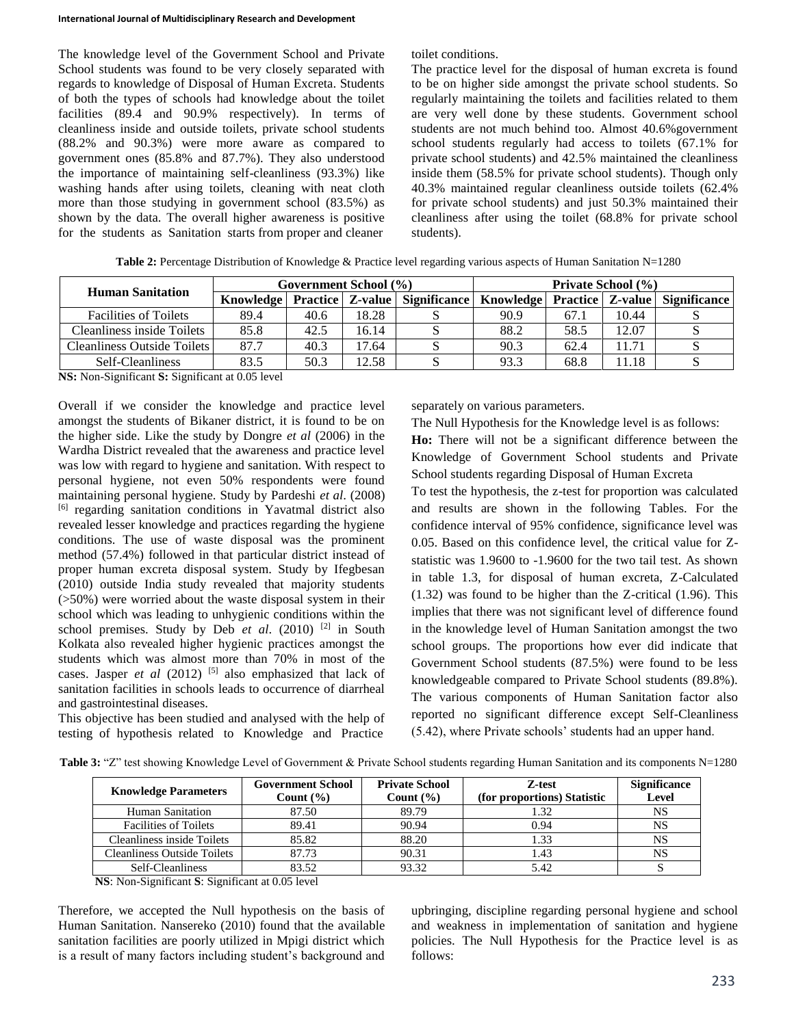The knowledge level of the Government School and Private School students was found to be very closely separated with regards to knowledge of Disposal of Human Excreta. Students of both the types of schools had knowledge about the toilet facilities (89.4 and 90.9% respectively). In terms of cleanliness inside and outside toilets, private school students (88.2% and 90.3%) were more aware as compared to government ones (85.8% and 87.7%). They also understood the importance of maintaining self-cleanliness (93.3%) like washing hands after using toilets, cleaning with neat cloth more than those studying in government school (83.5%) as shown by the data. The overall higher awareness is positive for the students as Sanitation starts from proper and cleaner

toilet conditions.

The practice level for the disposal of human excreta is found to be on higher side amongst the private school students. So regularly maintaining the toilets and facilities related to them are very well done by these students. Government school students are not much behind too. Almost 40.6%government school students regularly had access to toilets (67.1% for private school students) and 42.5% maintained the cleanliness inside them (58.5% for private school students). Though only 40.3% maintained regular cleanliness outside toilets (62.4% for private school students) and just 50.3% maintained their cleanliness after using the toilet (68.8% for private school students).

**Table 2:** Percentage Distribution of Knowledge & Practice level regarding various aspects of Human Sanitation N=1280

| <b>Human Sanitation</b>      | Government School (%) |      |       |                                               | <b>Private School</b> (%) |      |       |                                               |
|------------------------------|-----------------------|------|-------|-----------------------------------------------|---------------------------|------|-------|-----------------------------------------------|
|                              |                       |      |       | Knowledge   Practice   Z-value   Significance |                           |      |       | Knowledge   Practice   Z-value   Significance |
| <b>Facilities of Toilets</b> | 89.4                  | 40.6 | 18.28 |                                               | 90.9                      | 67.1 | 10.44 |                                               |
| Cleanliness inside Toilets   | 85.8                  | 42.5 | 16.14 |                                               | 88.2                      | 58.5 | 12.07 |                                               |
| Cleanliness Outside Toilets  | 87.7                  | 40.3 | 17.64 |                                               | 90.3                      | 62.4 | 11.71 |                                               |
| Self-Cleanliness             | 83.5                  | 50.3 | 12.58 |                                               | 93.3                      | 68.8 | 1.18  |                                               |

**NS:** Non-Significant **S:** Significant at 0.05 level

Overall if we consider the knowledge and practice level amongst the students of Bikaner district, it is found to be on the higher side. Like the study by Dongre *et al* (2006) in the Wardha District revealed that the awareness and practice level was low with regard to hygiene and sanitation. With respect to personal hygiene, not even 50% respondents were found maintaining personal hygiene. Study by Pardeshi *et al*. (2008) [6] regarding sanitation conditions in Yavatmal district also revealed lesser knowledge and practices regarding the hygiene conditions. The use of waste disposal was the prominent method (57.4%) followed in that particular district instead of proper human excreta disposal system. Study by Ifegbesan (2010) outside India study revealed that majority students (>50%) were worried about the waste disposal system in their school which was leading to unhygienic conditions within the school premises. Study by Deb et al. (2010)<sup>[2]</sup> in South Kolkata also revealed higher hygienic practices amongst the students which was almost more than 70% in most of the cases. Jasper *et al* (2012)<sup>[5]</sup> also emphasized that lack of sanitation facilities in schools leads to occurrence of diarrheal and gastrointestinal diseases.

This objective has been studied and analysed with the help of testing of hypothesis related to Knowledge and Practice

separately on various parameters.

The Null Hypothesis for the Knowledge level is as follows: **Ho:** There will not be a significant difference between the Knowledge of Government School students and Private School students regarding Disposal of Human Excreta

To test the hypothesis, the z-test for proportion was calculated and results are shown in the following Tables. For the confidence interval of 95% confidence, significance level was 0.05. Based on this confidence level, the critical value for Zstatistic was 1.9600 to -1.9600 for the two tail test. As shown in table 1.3, for disposal of human excreta, Z-Calculated (1.32) was found to be higher than the Z-critical (1.96). This implies that there was not significant level of difference found in the knowledge level of Human Sanitation amongst the two school groups. The proportions how ever did indicate that Government School students (87.5%) were found to be less knowledgeable compared to Private School students (89.8%). The various components of Human Sanitation factor also reported no significant difference except Self-Cleanliness (5.42), where Private schools' students had an upper hand.

| <b>Knowledge Parameters</b>        | <b>Government School</b><br>Count $(\% )$ | <b>Private School</b><br>Count $(\% )$ | Z-test<br>(for proportions) Statistic | <b>Significance</b><br>Level |
|------------------------------------|-------------------------------------------|----------------------------------------|---------------------------------------|------------------------------|
| Human Sanitation                   | 87.50                                     | 89.79                                  |                                       | NS                           |
| <b>Facilities of Toilets</b>       | 89.41                                     | 90.94                                  | 0.94                                  | NS                           |
| <b>Cleanliness inside Toilets</b>  | 85.82                                     | 88.20                                  | .33                                   | NS                           |
| <b>Cleanliness Outside Toilets</b> | 87.73                                     | 90.31                                  |                                       | NS                           |
| Self-Cleanliness                   | 83.52                                     | 93.32                                  |                                       |                              |

Table 3: "Z" test showing Knowledge Level of Government & Private School students regarding Human Sanitation and its components N=1280

**NS**: Non-Significant **S**: Significant at 0.05 level

Therefore, we accepted the Null hypothesis on the basis of Human Sanitation. Nansereko (2010) found that the available sanitation facilities are poorly utilized in Mpigi district which is a result of many factors including student's background and

upbringing, discipline regarding personal hygiene and school and weakness in implementation of sanitation and hygiene policies. The Null Hypothesis for the Practice level is as follows: